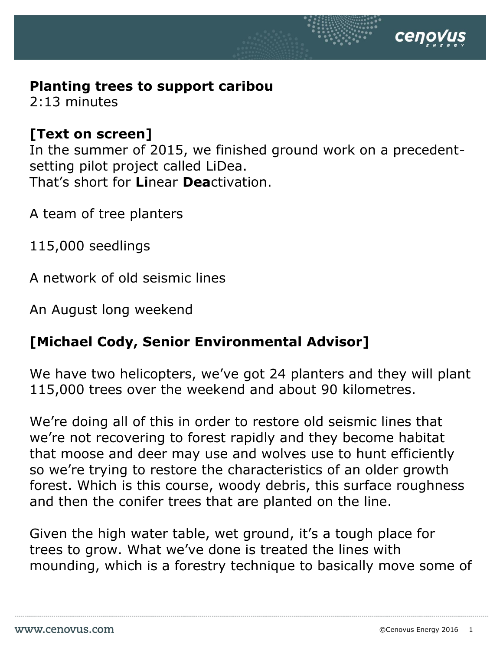## **Planting trees to support caribou**

2:13 minutes

## **[Text on screen]**

In the summer of 2015, we finished ground work on a precedentsetting pilot project called LiDea. That's short for **Li**near **Dea**ctivation.

A team of tree planters

115,000 seedlings

A network of old seismic lines

An August long weekend

## **[Michael Cody, Senior Environmental Advisor]**

We have two helicopters, we've got 24 planters and they will plant 115,000 trees over the weekend and about 90 kilometres.

We're doing all of this in order to restore old seismic lines that we're not recovering to forest rapidly and they become habitat that moose and deer may use and wolves use to hunt efficiently so we're trying to restore the characteristics of an older growth forest. Which is this course, woody debris, this surface roughness and then the conifer trees that are planted on the line.

Given the high water table, wet ground, it's a tough place for trees to grow. What we've done is treated the lines with mounding, which is a forestry technique to basically move some of

селоv